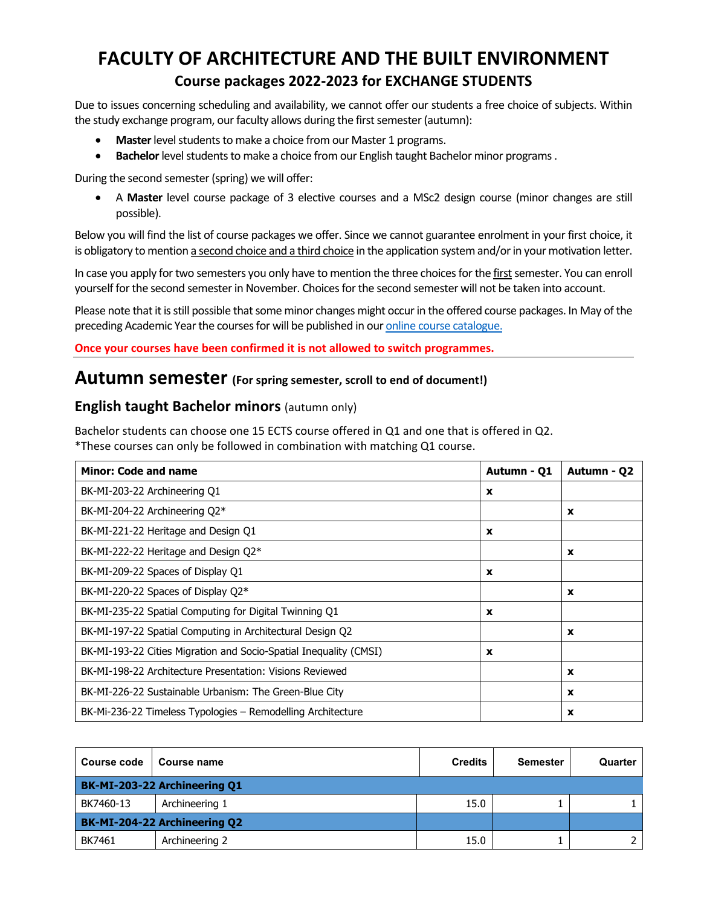# **FACULTY OF ARCHITECTURE AND THE BUILT ENVIRONMENT Course packages 2022-2023 for EXCHANGE STUDENTS**

Due to issues concerning scheduling and availability, we cannot offer our students a free choice of subjects. Within the study exchange program, our faculty allows during the first semester (autumn):

- **Master**level students to make a choice from our Master 1 programs.
- **Bachelor** level students to make a choice from our English taught Bachelor minor programs.

During the second semester (spring) we will offer:

• A **Master** level course package of 3 elective courses and a MSc2 design course (minor changes are still possible).

Below you will find the list of course packages we offer. Since we cannot guarantee enrolment in your first choice, it is obligatory to mention a second choice and a third choice in the application system and/or in your motivation letter.

In case you apply for two semesters you only have to mention the three choices for the first semester. You can enroll yourself for the second semester in November. Choices for the second semester will not be taken into account.

Please note that it is still possible that some minor changes might occur in the offered course packages. In May of the preceding Academic Year the courses for will be published in ou[r online course catalogue.](https://studiegids.tudelft.nl/bbDefault.do?SIS_SwitchLang=en)

**Once your courses have been confirmed it is not allowed to switch programmes.**

#### **Autumn semester (For spring semester, scroll to end of document!)**

#### **English taught Bachelor minors** (autumn only)

Bachelor students can choose one 15 ECTS course offered in Q1 and one that is offered in Q2.

\*These courses can only be followed in combination with matching Q1 course.

| <b>Minor: Code and name</b>                                       | Autumn - Q1 | Autumn - Q2 |
|-------------------------------------------------------------------|-------------|-------------|
| BK-MI-203-22 Archineering Q1                                      | X           |             |
| BK-MI-204-22 Archineering Q2*                                     |             | x           |
| BK-MI-221-22 Heritage and Design Q1                               | $\mathbf x$ |             |
| BK-MI-222-22 Heritage and Design Q2*                              |             | x           |
| BK-MI-209-22 Spaces of Display Q1                                 | $\mathbf x$ |             |
| BK-MI-220-22 Spaces of Display Q2*                                |             | X           |
| BK-MI-235-22 Spatial Computing for Digital Twinning Q1            | X           |             |
| BK-MI-197-22 Spatial Computing in Architectural Design Q2         |             | x           |
| BK-MI-193-22 Cities Migration and Socio-Spatial Inequality (CMSI) | $\mathbf x$ |             |
| BK-MI-198-22 Architecture Presentation: Visions Reviewed          |             | x           |
| BK-MI-226-22 Sustainable Urbanism: The Green-Blue City            |             | X           |
| BK-Mi-236-22 Timeless Typologies – Remodelling Architecture       |             | x           |

| Course code | <b>Course name</b>                  | <b>Credits</b> | <b>Semester</b> | Quarter |
|-------------|-------------------------------------|----------------|-----------------|---------|
|             | BK-MI-203-22 Archineering Q1        |                |                 |         |
| BK7460-13   | Archineering 1                      | 15.0           |                 |         |
|             | <b>BK-MI-204-22 Archineering Q2</b> |                |                 |         |
| BK7461      | Archineering 2                      | 15.0           |                 |         |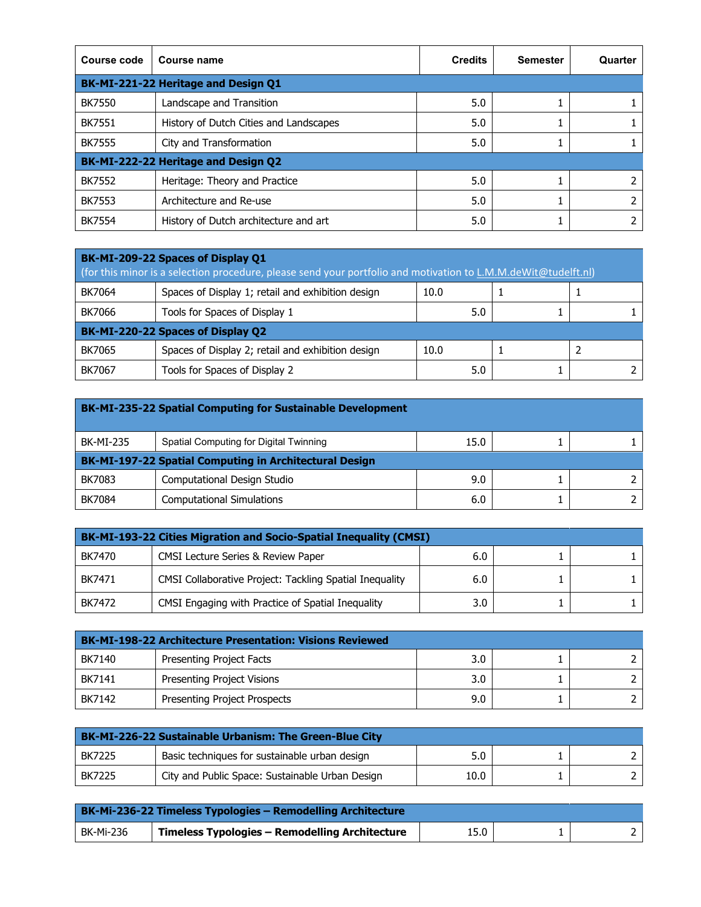| Course code                         | Course name                            | <b>Credits</b> | <b>Semester</b> | Quarter |  |  |
|-------------------------------------|----------------------------------------|----------------|-----------------|---------|--|--|
| BK-MI-221-22 Heritage and Design Q1 |                                        |                |                 |         |  |  |
| <b>BK7550</b>                       | Landscape and Transition               | 5.0            | Ŧ.              |         |  |  |
| <b>BK7551</b>                       | History of Dutch Cities and Landscapes | 5.0            |                 |         |  |  |
| <b>BK7555</b>                       | City and Transformation                | 5.0            | Τ.              |         |  |  |
|                                     | BK-MI-222-22 Heritage and Design Q2    |                |                 |         |  |  |
| <b>BK7552</b>                       | Heritage: Theory and Practice          | 5.0            |                 |         |  |  |
| <b>BK7553</b>                       | Architecture and Re-use                | 5.0            |                 |         |  |  |
| <b>BK7554</b>                       | History of Dutch architecture and art  | 5.0            |                 |         |  |  |

| BK-MI-209-22 Spaces of Display Q1<br>(for this minor is a selection procedure, please send your portfolio and motivation to L.M.M.deWit@tudelft.nl) |                                                   |      |  |  |  |
|-----------------------------------------------------------------------------------------------------------------------------------------------------|---------------------------------------------------|------|--|--|--|
| BK7064                                                                                                                                              | Spaces of Display 1; retail and exhibition design | 10.0 |  |  |  |
| BK7066                                                                                                                                              | Tools for Spaces of Display 1                     | 5.0  |  |  |  |
|                                                                                                                                                     | BK-MI-220-22 Spaces of Display Q2                 |      |  |  |  |
| BK7065                                                                                                                                              | Spaces of Display 2; retail and exhibition design | 10.0 |  |  |  |
| <b>BK7067</b>                                                                                                                                       | Tools for Spaces of Display 2                     | 5.0  |  |  |  |

| <b>BK-MI-235-22 Spatial Computing for Sustainable Development</b> |                                                        |      |  |  |  |
|-------------------------------------------------------------------|--------------------------------------------------------|------|--|--|--|
| <b>BK-MI-235</b>                                                  | Spatial Computing for Digital Twinning                 | 15.0 |  |  |  |
|                                                                   | BK-MI-197-22 Spatial Computing in Architectural Design |      |  |  |  |
| BK7083                                                            | Computational Design Studio                            | 9.0  |  |  |  |
| <b>BK7084</b>                                                     | <b>Computational Simulations</b>                       | 6.0  |  |  |  |

| BK-MI-193-22 Cities Migration and Socio-Spatial Inequality (CMSI) |                                                                |     |  |  |
|-------------------------------------------------------------------|----------------------------------------------------------------|-----|--|--|
| BK7470                                                            | <b>CMSI Lecture Series &amp; Review Paper</b>                  | 6.0 |  |  |
| BK7471                                                            | <b>CMSI Collaborative Project: Tackling Spatial Inequality</b> | 6.0 |  |  |
| BK7472                                                            | CMSI Engaging with Practice of Spatial Inequality              | 3.0 |  |  |

| <b>BK-MI-198-22 Architecture Presentation: Visions Reviewed</b> |                                     |     |  |  |
|-----------------------------------------------------------------|-------------------------------------|-----|--|--|
| BK7140                                                          | Presenting Project Facts            | 3.0 |  |  |
| BK7141                                                          | Presenting Project Visions          | 3.0 |  |  |
| BK7142                                                          | <b>Presenting Project Prospects</b> | 9.0 |  |  |

| <b>BK-MI-226-22 Sustainable Urbanism: The Green-Blue City</b> |                                                 |      |  |  |
|---------------------------------------------------------------|-------------------------------------------------|------|--|--|
| <b>BK7225</b>                                                 | Basic techniques for sustainable urban design   |      |  |  |
| <b>BK7225</b>                                                 | City and Public Space: Sustainable Urban Design | 10.0 |  |  |

| BK-Mi-236-22 Timeless Typologies – Remodelling Architecture |                                                |      |  |  |
|-------------------------------------------------------------|------------------------------------------------|------|--|--|
| BK-Mi-236                                                   | Timeless Typologies - Remodelling Architecture | 15.0 |  |  |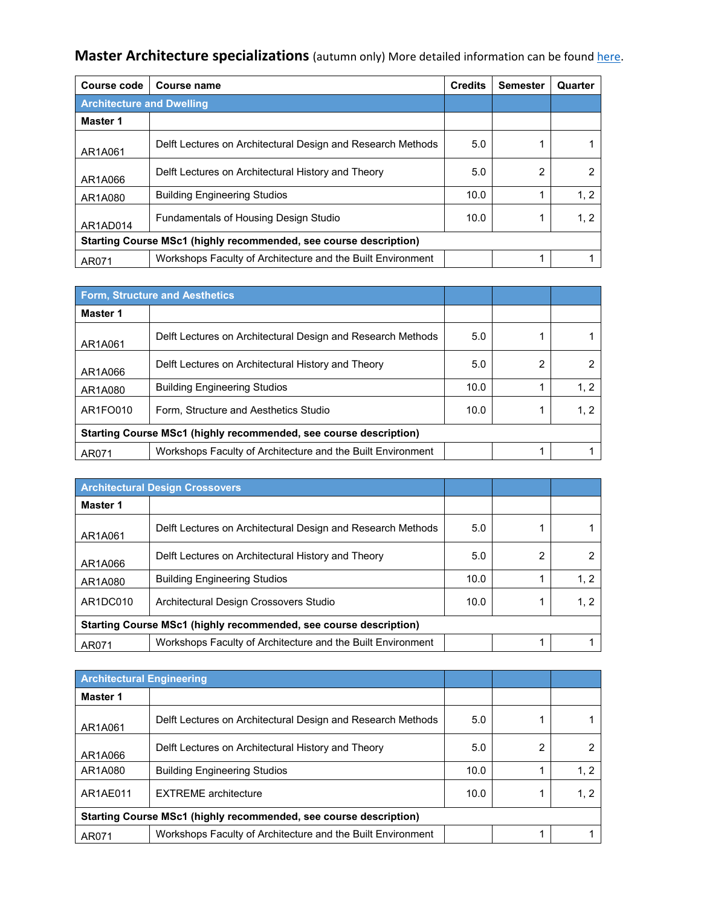**Master Architecture specializations** (autumn only) More detailed information can be foun[d here.](https://www.tudelft.nl/onderwijs/opleidingen/masters/aubs/msc-architecture-urbanism-and-building-sciences/master-tracks/architecture/programme/studios/)

| Course code                                                       | Course name                                                 | <b>Credits</b> | <b>Semester</b> | Quarter |
|-------------------------------------------------------------------|-------------------------------------------------------------|----------------|-----------------|---------|
| <b>Architecture and Dwelling</b>                                  |                                                             |                |                 |         |
| Master 1                                                          |                                                             |                |                 |         |
| AR1A061                                                           | Delft Lectures on Architectural Design and Research Methods | 5.0            |                 |         |
| AR1A066                                                           | Delft Lectures on Architectural History and Theory          | 5.0            | 2               |         |
| AR1A080                                                           | <b>Building Engineering Studios</b>                         | 10.0           |                 | 1.2     |
| AR1AD014                                                          | <b>Fundamentals of Housing Design Studio</b>                | 10.0           |                 | 1, 2    |
| Starting Course MSc1 (highly recommended, see course description) |                                                             |                |                 |         |
| AR071                                                             | Workshops Faculty of Architecture and the Built Environment |                |                 |         |

|          | Form, Structure and Aesthetics                                    |      |   |               |
|----------|-------------------------------------------------------------------|------|---|---------------|
| Master 1 |                                                                   |      |   |               |
| AR1A061  | Delft Lectures on Architectural Design and Research Methods       | 5.0  |   |               |
| AR1A066  | Delft Lectures on Architectural History and Theory                | 5.0  | 2 | $\mathcal{P}$ |
| AR1A080  | <b>Building Engineering Studios</b>                               | 10.0 |   | 1, 2          |
| AR1FO010 | Form, Structure and Aesthetics Studio                             | 10.0 |   | 1, 2          |
|          | Starting Course MSc1 (highly recommended, see course description) |      |   |               |
| AR071    | Workshops Faculty of Architecture and the Built Environment       |      |   |               |

|          | <b>Architectural Design Crossovers</b>                            |      |   |      |
|----------|-------------------------------------------------------------------|------|---|------|
| Master 1 |                                                                   |      |   |      |
| AR1A061  | Delft Lectures on Architectural Design and Research Methods       | 5.0  |   |      |
| AR1A066  | Delft Lectures on Architectural History and Theory                | 5.0  | 2 |      |
| AR1A080  | <b>Building Engineering Studios</b>                               | 10.0 |   | 1.2  |
| AR1DC010 | Architectural Design Crossovers Studio                            | 10.0 |   | 1, 2 |
|          | Starting Course MSc1 (highly recommended, see course description) |      |   |      |
| AR071    | Workshops Faculty of Architecture and the Built Environment       |      |   |      |

| <b>Architectural Engineering</b>                                  |                                                             |      |   |      |  |
|-------------------------------------------------------------------|-------------------------------------------------------------|------|---|------|--|
| Master 1                                                          |                                                             |      |   |      |  |
| AR1A061                                                           | Delft Lectures on Architectural Design and Research Methods | 5.0  |   |      |  |
| AR1A066                                                           | Delft Lectures on Architectural History and Theory          | 5.0  | 2 |      |  |
| AR1A080                                                           | <b>Building Engineering Studios</b>                         | 10.0 |   | 1, 2 |  |
| AR1AE011                                                          | <b>EXTREME</b> architecture                                 | 10.0 |   | 1, 2 |  |
| Starting Course MSc1 (highly recommended, see course description) |                                                             |      |   |      |  |
| AR071                                                             | Workshops Faculty of Architecture and the Built Environment |      |   |      |  |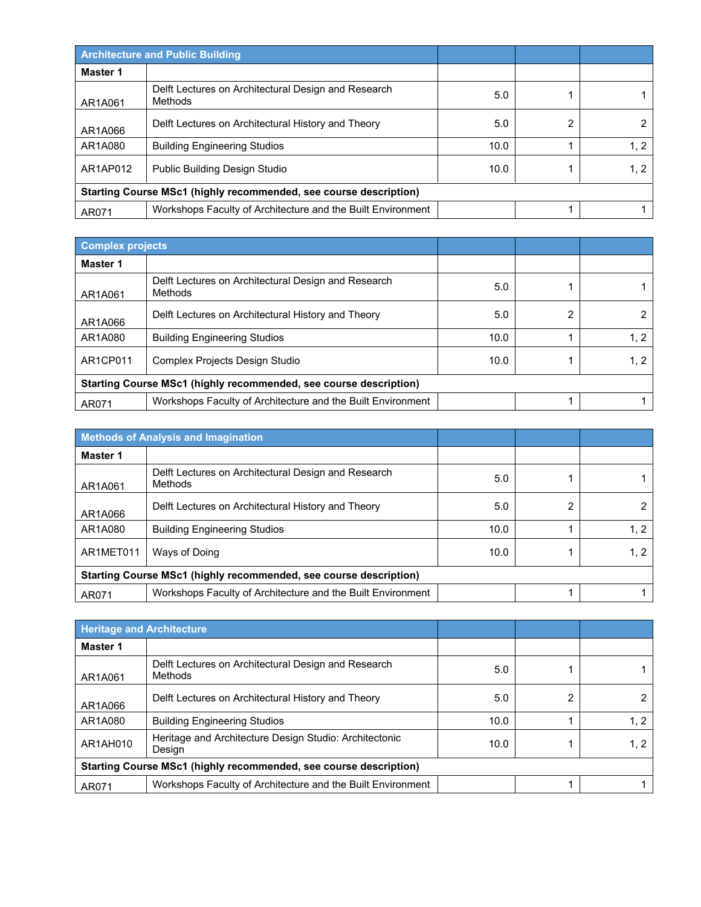|                                                                   | <b>Architecture and Public Building</b>                        |      |   |      |
|-------------------------------------------------------------------|----------------------------------------------------------------|------|---|------|
| Master 1                                                          |                                                                |      |   |      |
| AR1A061                                                           | Delft Lectures on Architectural Design and Research<br>Methods | 5.0  |   |      |
| AR1A066                                                           | Delft Lectures on Architectural History and Theory             | 5.0  | 2 |      |
| AR1A080                                                           | <b>Building Engineering Studios</b>                            | 10.0 |   | 1, 2 |
| AR1AP012                                                          | Public Building Design Studio                                  | 10.0 |   | 1, 2 |
| Starting Course MSc1 (highly recommended, see course description) |                                                                |      |   |      |
| AR071                                                             | Workshops Faculty of Architecture and the Built Environment    |      |   |      |

|                                                                   | <b>Complex projects</b>                                        |      |   |      |
|-------------------------------------------------------------------|----------------------------------------------------------------|------|---|------|
| Master 1                                                          |                                                                |      |   |      |
| AR1A061                                                           | Delft Lectures on Architectural Design and Research<br>Methods | 5.0  |   |      |
| AR1A066                                                           | Delft Lectures on Architectural History and Theory             | 5.0  | 2 |      |
| AR1A080                                                           | <b>Building Engineering Studios</b>                            | 10.0 |   | 1, 2 |
| AR1CP011                                                          | Complex Projects Design Studio                                 | 10.0 |   | 1, 2 |
| Starting Course MSc1 (highly recommended, see course description) |                                                                |      |   |      |
| AR071                                                             | Workshops Faculty of Architecture and the Built Environment    |      |   |      |

|                                                                          | <b>Methods of Analysis and Imagination</b>                     |      |   |      |
|--------------------------------------------------------------------------|----------------------------------------------------------------|------|---|------|
| Master 1                                                                 |                                                                |      |   |      |
| AR1A061                                                                  | Delft Lectures on Architectural Design and Research<br>Methods | 5.0  |   |      |
| AR1A066                                                                  | Delft Lectures on Architectural History and Theory             | 5.0  | 2 |      |
| AR1A080                                                                  | <b>Building Engineering Studios</b>                            | 10.0 |   | 1, 2 |
| AR1MET011                                                                | Ways of Doing                                                  | 10.0 |   | 1, 2 |
| <b>Starting Course MSc1 (highly recommended, see course description)</b> |                                                                |      |   |      |
| AR071                                                                    | Workshops Faculty of Architecture and the Built Environment    |      |   |      |

| <b>Heritage and Architecture</b>                                  |                                                                  |      |   |      |
|-------------------------------------------------------------------|------------------------------------------------------------------|------|---|------|
| Master 1                                                          |                                                                  |      |   |      |
| AR1A061                                                           | Delft Lectures on Architectural Design and Research<br>Methods   | 5.0  |   |      |
| AR1A066                                                           | Delft Lectures on Architectural History and Theory               | 5.0  | 2 |      |
| AR1A080                                                           | <b>Building Engineering Studios</b>                              | 10.0 |   | 1.2  |
| AR1AH010                                                          | Heritage and Architecture Design Studio: Architectonic<br>Design | 10.0 |   | 1, 2 |
| Starting Course MSc1 (highly recommended, see course description) |                                                                  |      |   |      |
| AR071                                                             | Workshops Faculty of Architecture and the Built Environment      |      |   |      |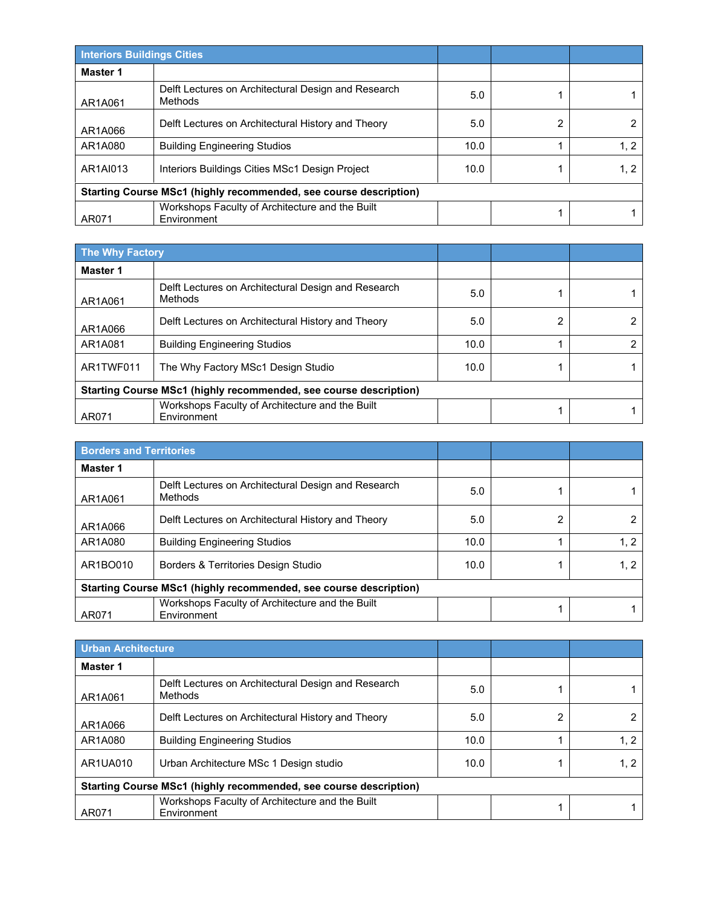|                                                                   | <b>Interiors Buildings Cities</b>                              |      |  |      |
|-------------------------------------------------------------------|----------------------------------------------------------------|------|--|------|
| Master 1                                                          |                                                                |      |  |      |
| AR1A061                                                           | Delft Lectures on Architectural Design and Research<br>Methods | 5.0  |  |      |
| AR1A066                                                           | Delft Lectures on Architectural History and Theory             | 5.0  |  |      |
| AR1A080                                                           | <b>Building Engineering Studios</b>                            | 10.0 |  | 1.2  |
| AR1AI013                                                          | Interiors Buildings Cities MSc1 Design Project                 | 10.0 |  | 1, 2 |
| Starting Course MSc1 (highly recommended, see course description) |                                                                |      |  |      |
| AR071                                                             | Workshops Faculty of Architecture and the Built<br>Environment |      |  |      |

| <b>The Why Factory</b>                                            |                                                                |      |  |  |
|-------------------------------------------------------------------|----------------------------------------------------------------|------|--|--|
| Master 1                                                          |                                                                |      |  |  |
| AR1A061                                                           | Delft Lectures on Architectural Design and Research<br>Methods | 5.0  |  |  |
| AR1A066                                                           | Delft Lectures on Architectural History and Theory             | 5.0  |  |  |
| AR1A081                                                           | <b>Building Engineering Studios</b>                            | 10.0 |  |  |
| AR1TWF011                                                         | The Why Factory MSc1 Design Studio                             | 10.0 |  |  |
| Starting Course MSc1 (highly recommended, see course description) |                                                                |      |  |  |
| AR071                                                             | Workshops Faculty of Architecture and the Built<br>Environment |      |  |  |

|                                                                   | <b>Borders and Territories</b>                                 |      |  |      |
|-------------------------------------------------------------------|----------------------------------------------------------------|------|--|------|
| Master 1                                                          |                                                                |      |  |      |
| AR1A061                                                           | Delft Lectures on Architectural Design and Research<br>Methods | 5.0  |  |      |
| AR1A066                                                           | Delft Lectures on Architectural History and Theory             | 5.0  |  |      |
| AR1A080                                                           | <b>Building Engineering Studios</b>                            | 10.0 |  | 1.2  |
| AR1BO010                                                          | Borders & Territories Design Studio                            | 10.0 |  | 1, 2 |
| Starting Course MSc1 (highly recommended, see course description) |                                                                |      |  |      |
| AR071                                                             | Workshops Faculty of Architecture and the Built<br>Environment |      |  |      |

| Urban Architecture                                                       |                                                                |      |   |      |
|--------------------------------------------------------------------------|----------------------------------------------------------------|------|---|------|
| Master 1                                                                 |                                                                |      |   |      |
| AR1A061                                                                  | Delft Lectures on Architectural Design and Research<br>Methods | 5.0  |   |      |
| AR1A066                                                                  | Delft Lectures on Architectural History and Theory             | 5.0  | 2 |      |
| AR1A080                                                                  | <b>Building Engineering Studios</b>                            | 10.0 |   | 1.2  |
| AR1UA010                                                                 | Urban Architecture MSc 1 Design studio                         | 10.0 |   | 1, 2 |
| <b>Starting Course MSc1 (highly recommended, see course description)</b> |                                                                |      |   |      |
| AR071                                                                    | Workshops Faculty of Architecture and the Built<br>Environment |      |   |      |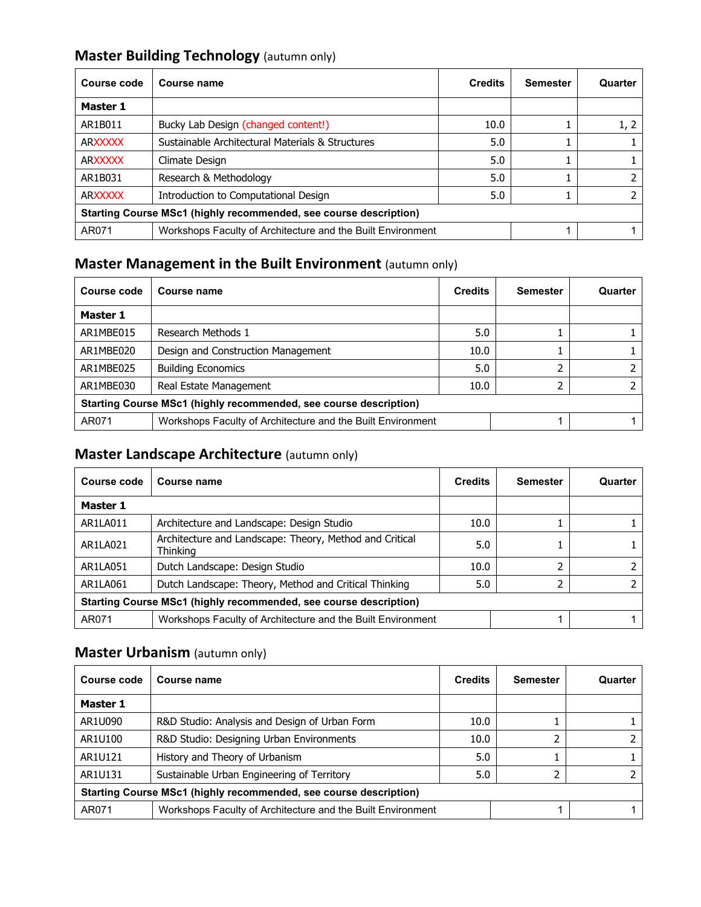## **Master Building Technology** (autumn only)

| Course code                                                          | Course name                                      | <b>Credits</b> | <b>Semester</b> | Quarter |
|----------------------------------------------------------------------|--------------------------------------------------|----------------|-----------------|---------|
| <b>Master 1</b>                                                      |                                                  |                |                 |         |
| AR1B011                                                              | Bucky Lab Design (changed content!)              | 10.0           |                 | 1, 2    |
| <b>ARXXXXX</b>                                                       | Sustainable Architectural Materials & Structures | 5.0            |                 |         |
| <b>ARXXXXX</b>                                                       | Climate Design                                   | 5.0            |                 |         |
| AR1B031                                                              | Research & Methodology                           | 5.0            |                 |         |
| <b>ARXXXXX</b>                                                       | Introduction to Computational Design             | 5.0            |                 |         |
| Starting Course MSc1 (highly recommended, see course description)    |                                                  |                |                 |         |
| AR071<br>Workshops Faculty of Architecture and the Built Environment |                                                  |                |                 |         |

### **Master Management in the Built Environment** (autumn only)

| Course code                                                       | Course name                                                 | <b>Credits</b> | <b>Semester</b> | Quarter |
|-------------------------------------------------------------------|-------------------------------------------------------------|----------------|-----------------|---------|
| Master 1                                                          |                                                             |                |                 |         |
| AR1MBE015                                                         | Research Methods 1                                          | 5.0            |                 |         |
| AR1MBE020                                                         | Design and Construction Management                          | 10.0           |                 |         |
| AR1MBE025                                                         | <b>Building Economics</b>                                   | 5.0            |                 |         |
| AR1MBE030                                                         | Real Estate Management                                      | 10.0           |                 |         |
| Starting Course MSc1 (highly recommended, see course description) |                                                             |                |                 |         |
| AR071                                                             | Workshops Faculty of Architecture and the Built Environment |                |                 |         |

### **Master Landscape Architecture** (autumn only)

| Course code                                                       | Course name                                                                | <b>Credits</b> | <b>Semester</b> | Quarter |
|-------------------------------------------------------------------|----------------------------------------------------------------------------|----------------|-----------------|---------|
| <b>Master 1</b>                                                   |                                                                            |                |                 |         |
| AR1LA011                                                          | Architecture and Landscape: Design Studio                                  | 10.0           |                 |         |
| AR1LA021                                                          | Architecture and Landscape: Theory, Method and Critical<br><b>Thinking</b> | 5.0            |                 |         |
| AR1LA051                                                          | Dutch Landscape: Design Studio                                             | 10.0           |                 |         |
| AR1LA061                                                          | Dutch Landscape: Theory, Method and Critical Thinking                      | 5.0            |                 |         |
| Starting Course MSc1 (highly recommended, see course description) |                                                                            |                |                 |         |
| AR071                                                             | Workshops Faculty of Architecture and the Built Environment                |                |                 |         |

### **Master Urbanism** (autumn only)

| Course code                                                       | Course name                                                 | <b>Credits</b> | <b>Semester</b> | Quarter |  |
|-------------------------------------------------------------------|-------------------------------------------------------------|----------------|-----------------|---------|--|
| Master 1                                                          |                                                             |                |                 |         |  |
| AR1U090                                                           | R&D Studio: Analysis and Design of Urban Form               | 10.0           |                 |         |  |
| AR1U100                                                           | R&D Studio: Designing Urban Environments                    | 10.0           |                 |         |  |
| AR1U121                                                           | History and Theory of Urbanism                              | 5.0            |                 |         |  |
| AR1U131                                                           | Sustainable Urban Engineering of Territory                  | 5.0            |                 |         |  |
| Starting Course MSc1 (highly recommended, see course description) |                                                             |                |                 |         |  |
| AR071                                                             | Workshops Faculty of Architecture and the Built Environment |                |                 |         |  |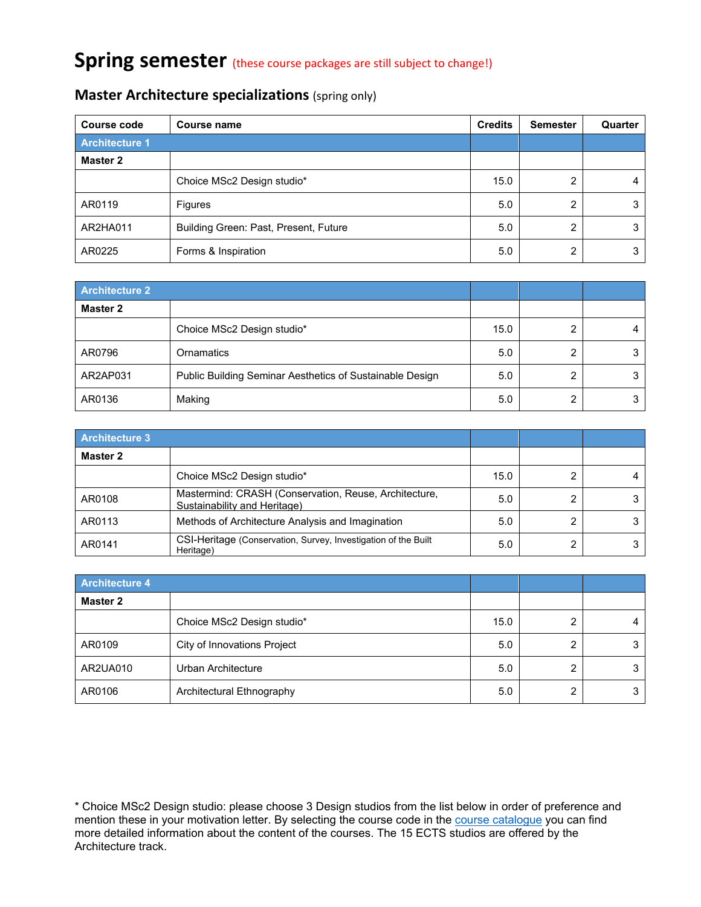# **Spring semester** (these course packages are still subject to change!)

| Course code           | Course name                           | <b>Credits</b> | <b>Semester</b> | Quarter |
|-----------------------|---------------------------------------|----------------|-----------------|---------|
| <b>Architecture 1</b> |                                       |                |                 |         |
| Master 2              |                                       |                |                 |         |
|                       | Choice MSc2 Design studio*            | 15.0           | ∩               |         |
| AR0119                | <b>Figures</b>                        | 5.0            | ∩               |         |
| AR2HA011              | Building Green: Past, Present, Future | 5.0            | ∩               |         |
| AR0225                | Forms & Inspiration                   | 5.0            | ◠               | 3       |

#### **Master Architecture specializations** (spring only)

| <b>Architecture 2</b> |                                                          |      |   |  |
|-----------------------|----------------------------------------------------------|------|---|--|
| Master 2              |                                                          |      |   |  |
|                       | Choice MSc2 Design studio*                               | 15.0 |   |  |
| AR0796                | Ornamatics                                               | 5.0  |   |  |
| AR2AP031              | Public Building Seminar Aesthetics of Sustainable Design | 5.0  | ◠ |  |
| AR0136                | Making                                                   | 5.0  |   |  |

| <b>Architecture 3</b> |                                                                                       |      |   |  |
|-----------------------|---------------------------------------------------------------------------------------|------|---|--|
| Master 2              |                                                                                       |      |   |  |
|                       | Choice MSc2 Design studio*                                                            | 15.0 |   |  |
| AR0108                | Mastermind: CRASH (Conservation, Reuse, Architecture,<br>Sustainability and Heritage) | 5.0  |   |  |
| AR0113                | Methods of Architecture Analysis and Imagination                                      | 5.0  |   |  |
| AR0141                | CSI-Heritage (Conservation, Survey, Investigation of the Built<br>Heritage)           | 5.0  | ◠ |  |

| <b>Architecture 4</b> |                             |      |   |  |
|-----------------------|-----------------------------|------|---|--|
| Master 2              |                             |      |   |  |
|                       | Choice MSc2 Design studio*  | 15.0 |   |  |
| AR0109                | City of Innovations Project | 5.0  | ◠ |  |
| AR2UA010              | Urban Architecture          | 5.0  | ◠ |  |
| AR0106                | Architectural Ethnography   | 5.0  |   |  |

\* Choice MSc2 Design studio: please choose 3 Design studios from the list below in order of preference and mention these in your motivation letter. By selecting the course code in the <u>course catalogue</u> you can find more detailed information about the content of the courses. The 15 ECTS studios are offered by the Architecture track.